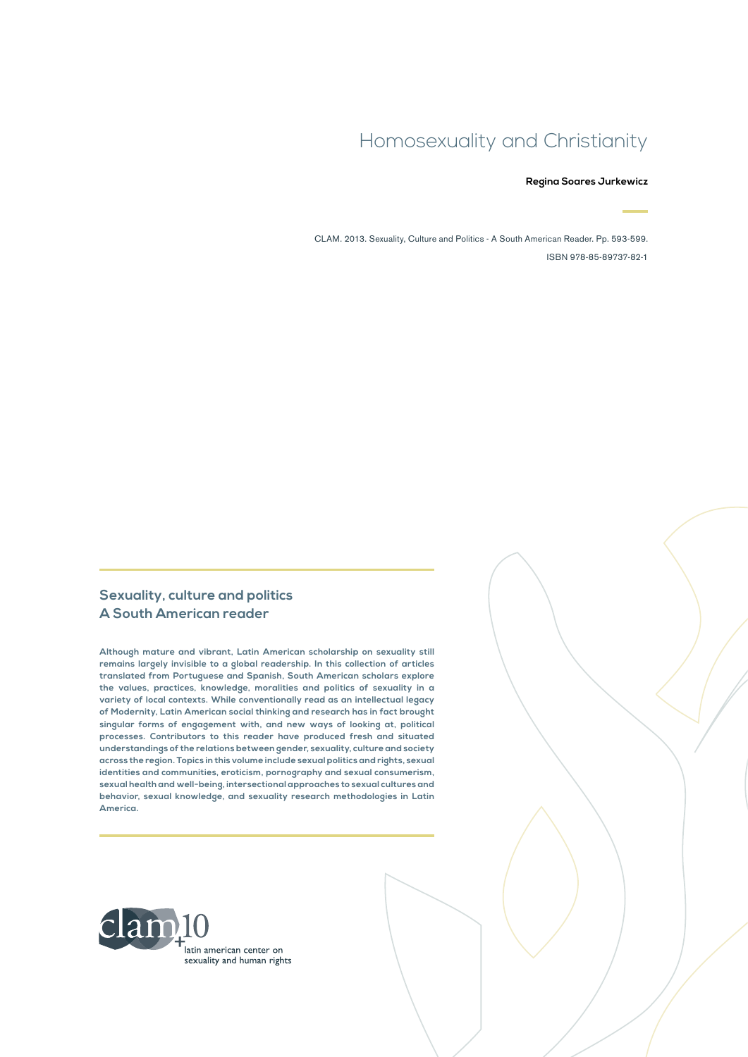# Homosexuality and Christianity

#### **Regina Soares Jurkewicz**

CLAM. 2013. Sexuality, Culture and Politics - A South American Reader. Pp. 593-599. ISBN 978-85-89737-82-1

#### **Sexuality, culture and politics A South American reader**

**Although mature and vibrant, Latin American scholarship on sexuality still remains largely invisible to a global readership. In this collection of articles translated from Portuguese and Spanish, South American scholars explore the values, practices, knowledge, moralities and politics of sexuality in a variety of local contexts. While conventionally read as an intellectual legacy of Modernity, Latin American social thinking and research has in fact brought singular forms of engagement with, and new ways of looking at, political processes. Contributors to this reader have produced fresh and situated understandings of the relations between gender, sexuality, culture and society across the region. Topics in this volume include sexual politics and rights, sexual identities and communities, eroticism, pornography and sexual consumerism, sexual health and well-being, intersectional approaches to sexual cultures and behavior, sexual knowledge, and sexuality research methodologies in Latin America.**

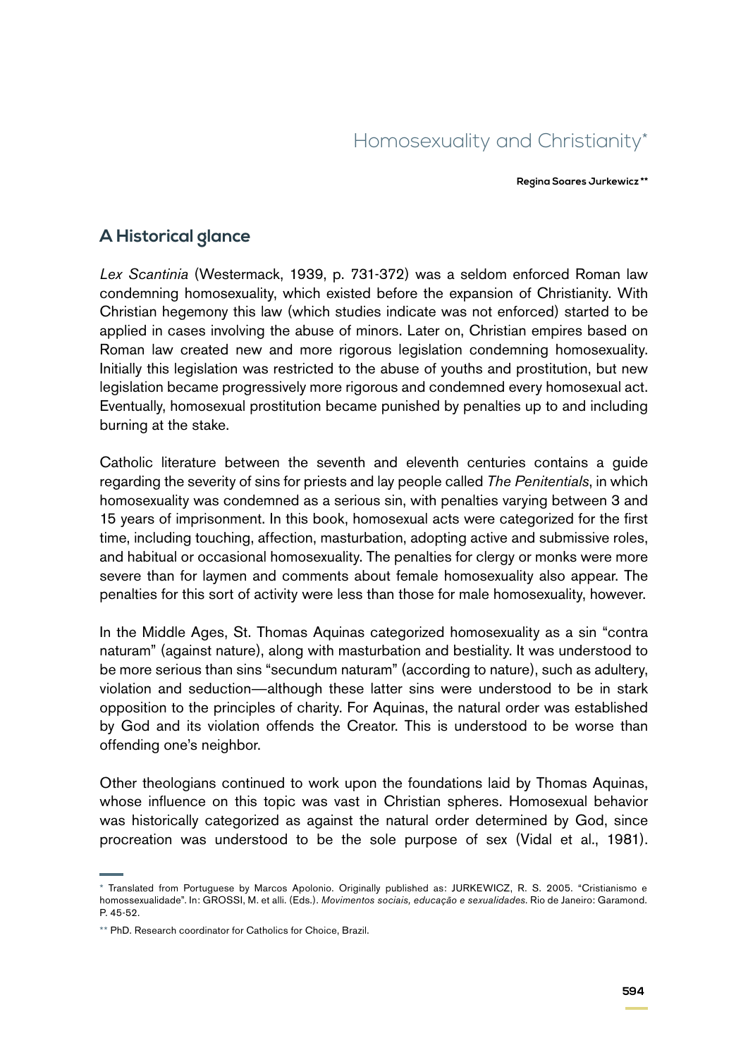# Homosexuality and Christianity\*

**Regina Soares Jurkewicz \*\***

#### **A Historical glance**

*Lex Scantinia* (Westermack, 1939, p. 731-372) was a seldom enforced Roman law condemning homosexuality, which existed before the expansion of Christianity. With Christian hegemony this law (which studies indicate was not enforced) started to be applied in cases involving the abuse of minors. Later on, Christian empires based on Roman law created new and more rigorous legislation condemning homosexuality. Initially this legislation was restricted to the abuse of youths and prostitution, but new legislation became progressively more rigorous and condemned every homosexual act. Eventually, homosexual prostitution became punished by penalties up to and including burning at the stake.

Catholic literature between the seventh and eleventh centuries contains a guide regarding the severity of sins for priests and lay people called *The Penitentials*, in which homosexuality was condemned as a serious sin, with penalties varying between 3 and 15 years of imprisonment. In this book, homosexual acts were categorized for the first time, including touching, affection, masturbation, adopting active and submissive roles, and habitual or occasional homosexuality. The penalties for clergy or monks were more severe than for laymen and comments about female homosexuality also appear. The penalties for this sort of activity were less than those for male homosexuality, however.

In the Middle Ages, St. Thomas Aquinas categorized homosexuality as a sin "contra naturam" (against nature), along with masturbation and bestiality. It was understood to be more serious than sins "secundum naturam" (according to nature), such as adultery, violation and seduction—although these latter sins were understood to be in stark opposition to the principles of charity. For Aquinas, the natural order was established by God and its violation offends the Creator. This is understood to be worse than offending one's neighbor.

Other theologians continued to work upon the foundations laid by Thomas Aquinas, whose influence on this topic was vast in Christian spheres. Homosexual behavior was historically categorized as against the natural order determined by God, since procreation was understood to be the sole purpose of sex (Vidal et al., 1981).

<sup>\*</sup> Translated from Portuguese by Marcos Apolonio. Originally published as: JURKEWICZ, R. S. 2005. "Cristianismo e homossexualidade". In: GROSSI, M. et alli. (Eds.). *Movimentos sociais, educação e sexualidades*. Rio de Janeiro: Garamond. P. 45-52.

<sup>\*\*</sup> PhD. Research coordinator for Catholics for Choice, Brazil.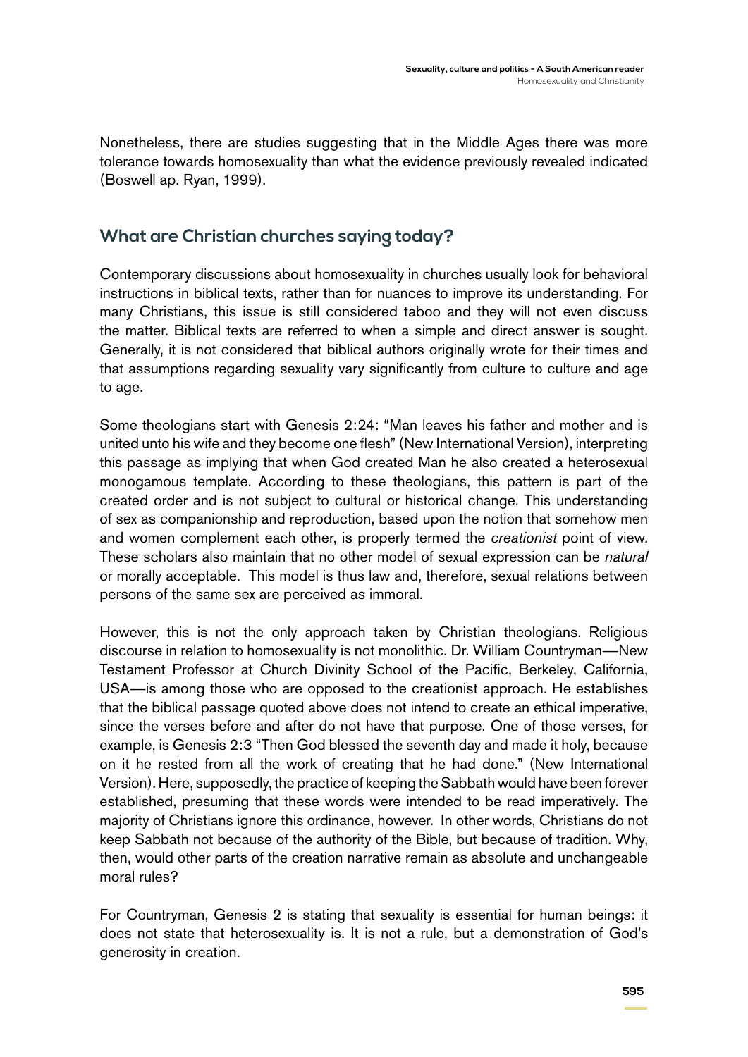Nonetheless, there are studies suggesting that in the Middle Ages there was more tolerance towards homosexuality than what the evidence previously revealed indicated (Boswell ap. Ryan, 1999).

## **What are Christian churches saying today?**

Contemporary discussions about homosexuality in churches usually look for behavioral instructions in biblical texts, rather than for nuances to improve its understanding. For many Christians, this issue is still considered taboo and they will not even discuss the matter. Biblical texts are referred to when a simple and direct answer is sought. Generally, it is not considered that biblical authors originally wrote for their times and that assumptions regarding sexuality vary significantly from culture to culture and age to age.

Some theologians start with Genesis 2:24: "Man leaves his father and mother and is united unto his wife and they become one flesh" (New International Version), interpreting this passage as implying that when God created Man he also created a heterosexual monogamous template. According to these theologians, this pattern is part of the created order and is not subject to cultural or historical change. This understanding of sex as companionship and reproduction, based upon the notion that somehow men and women complement each other, is properly termed the *creationist* point of view. These scholars also maintain that no other model of sexual expression can be *natural*  or morally acceptable. This model is thus law and, therefore, sexual relations between persons of the same sex are perceived as immoral.

However, this is not the only approach taken by Christian theologians. Religious discourse in relation to homosexuality is not monolithic. Dr. William Countryman—New Testament Professor at Church Divinity School of the Pacific, Berkeley, California, USA—is among those who are opposed to the creationist approach. He establishes that the biblical passage quoted above does not intend to create an ethical imperative, since the verses before and after do not have that purpose. One of those verses, for example, is Genesis 2:3 "Then God blessed the seventh day and made it holy, because on it he rested from all the work of creating that he had done." (New International Version). Here, supposedly, the practice of keeping the Sabbath would have been forever established, presuming that these words were intended to be read imperatively. The majority of Christians ignore this ordinance, however. In other words, Christians do not keep Sabbath not because of the authority of the Bible, but because of tradition. Why, then, would other parts of the creation narrative remain as absolute and unchangeable moral rules?

For Countryman, Genesis 2 is stating that sexuality is essential for human beings: it does not state that heterosexuality is. It is not a rule, but a demonstration of God's generosity in creation.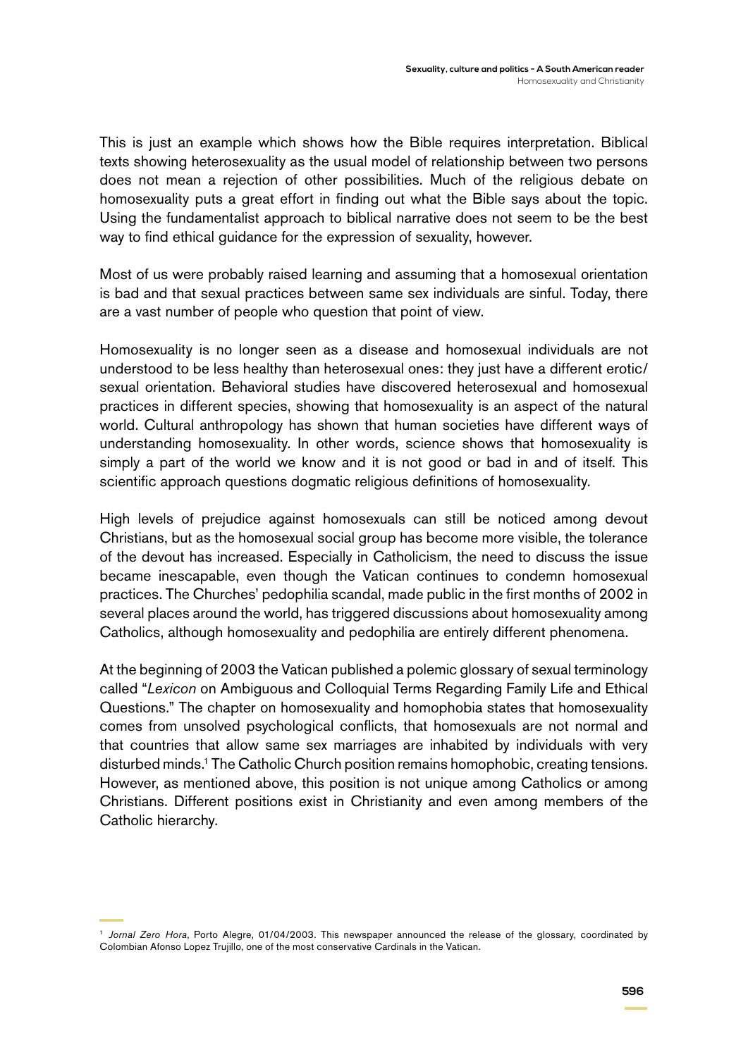This is just an example which shows how the Bible requires interpretation. Biblical texts showing heterosexuality as the usual model of relationship between two persons does not mean a rejection of other possibilities. Much of the religious debate on homosexuality puts a great effort in finding out what the Bible says about the topic. Using the fundamentalist approach to biblical narrative does not seem to be the best way to find ethical guidance for the expression of sexuality, however.

Most of us were probably raised learning and assuming that a homosexual orientation is bad and that sexual practices between same sex individuals are sinful. Today, there are a vast number of people who question that point of view.

Homosexuality is no longer seen as a disease and homosexual individuals are not understood to be less healthy than heterosexual ones: they just have a different erotic/ sexual orientation. Behavioral studies have discovered heterosexual and homosexual practices in different species, showing that homosexuality is an aspect of the natural world. Cultural anthropology has shown that human societies have different ways of understanding homosexuality. In other words, science shows that homosexuality is simply a part of the world we know and it is not good or bad in and of itself. This scientific approach questions dogmatic religious definitions of homosexuality.

High levels of prejudice against homosexuals can still be noticed among devout Christians, but as the homosexual social group has become more visible, the tolerance of the devout has increased. Especially in Catholicism, the need to discuss the issue became inescapable, even though the Vatican continues to condemn homosexual practices. The Churches' pedophilia scandal, made public in the first months of 2002 in several places around the world, has triggered discussions about homosexuality among Catholics, although homosexuality and pedophilia are entirely different phenomena.

At the beginning of 2003 the Vatican published a polemic glossary of sexual terminology called "*Lexicon* on Ambiguous and Colloquial Terms Regarding Family Life and Ethical Questions." The chapter on homosexuality and homophobia states that homosexuality comes from unsolved psychological conflicts, that homosexuals are not normal and that countries that allow same sex marriages are inhabited by individuals with very disturbed minds.1 The Catholic Church position remains homophobic, creating tensions. However, as mentioned above, this position is not unique among Catholics or among Christians. Different positions exist in Christianity and even among members of the Catholic hierarchy.

<sup>1</sup> *Jornal Zero Hora*, Porto Alegre, 01/04/2003. This newspaper announced the release of the glossary, coordinated by Colombian Afonso Lopez Trujillo, one of the most conservative Cardinals in the Vatican.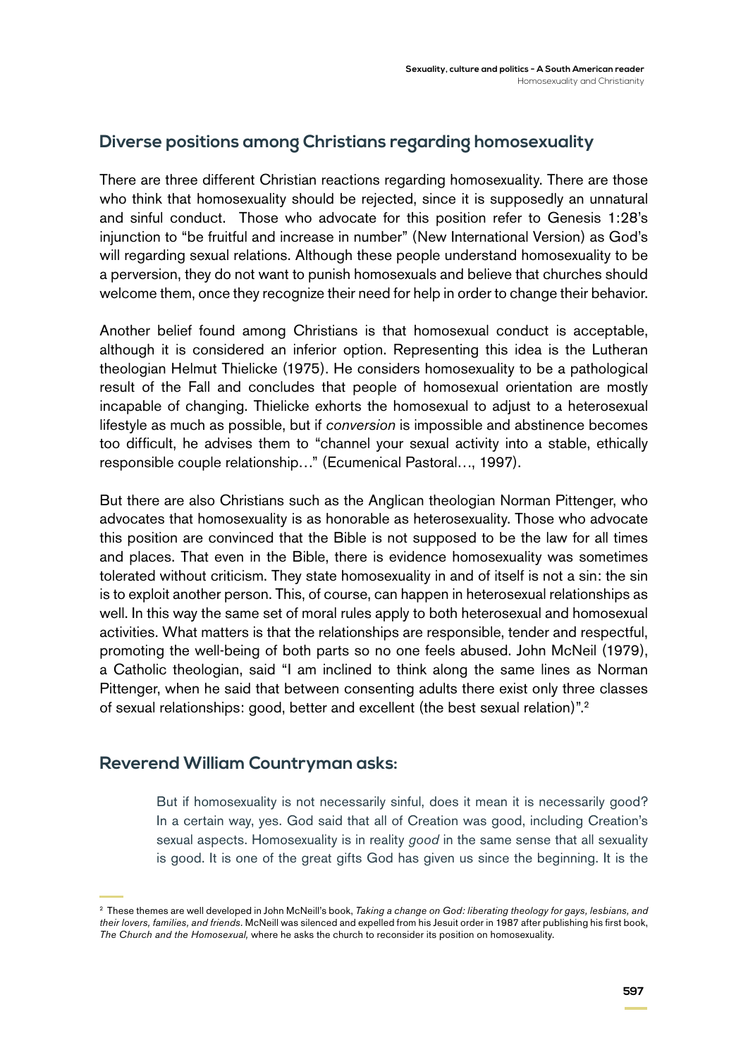## **Diverse positions among Christians regarding homosexuality**

There are three different Christian reactions regarding homosexuality. There are those who think that homosexuality should be rejected, since it is supposedly an unnatural and sinful conduct. Those who advocate for this position refer to Genesis 1:28's injunction to "be fruitful and increase in number" (New International Version) as God's will regarding sexual relations. Although these people understand homosexuality to be a perversion, they do not want to punish homosexuals and believe that churches should welcome them, once they recognize their need for help in order to change their behavior.

Another belief found among Christians is that homosexual conduct is acceptable, although it is considered an inferior option. Representing this idea is the Lutheran theologian Helmut Thielicke (1975). He considers homosexuality to be a pathological result of the Fall and concludes that people of homosexual orientation are mostly incapable of changing. Thielicke exhorts the homosexual to adjust to a heterosexual lifestyle as much as possible, but if *conversion* is impossible and abstinence becomes too difficult, he advises them to "channel your sexual activity into a stable, ethically responsible couple relationship…" (Ecumenical Pastoral…, 1997).

But there are also Christians such as the Anglican theologian Norman Pittenger, who advocates that homosexuality is as honorable as heterosexuality. Those who advocate this position are convinced that the Bible is not supposed to be the law for all times and places. That even in the Bible, there is evidence homosexuality was sometimes tolerated without criticism. They state homosexuality in and of itself is not a sin: the sin is to exploit another person. This, of course, can happen in heterosexual relationships as well. In this way the same set of moral rules apply to both heterosexual and homosexual activities. What matters is that the relationships are responsible, tender and respectful, promoting the well-being of both parts so no one feels abused. John McNeil (1979), a Catholic theologian, said "I am inclined to think along the same lines as Norman Pittenger, when he said that between consenting adults there exist only three classes of sexual relationships: good, better and excellent (the best sexual relation)".2

#### **Reverend William Countryman asks:**

But if homosexuality is not necessarily sinful, does it mean it is necessarily good? In a certain way, yes. God said that all of Creation was good, including Creation's sexual aspects. Homosexuality is in reality *good* in the same sense that all sexuality is good. It is one of the great gifts God has given us since the beginning. It is the

<sup>2</sup> These themes are well developed in John McNeill's book, *Taking a change on God: liberating theology for gays, lesbians, and their lovers, families, and friends.* McNeill was silenced and expelled from his Jesuit order in 1987 after publishing his first book, *The Church and the Homosexual,* where he asks the church to reconsider its position on homosexuality.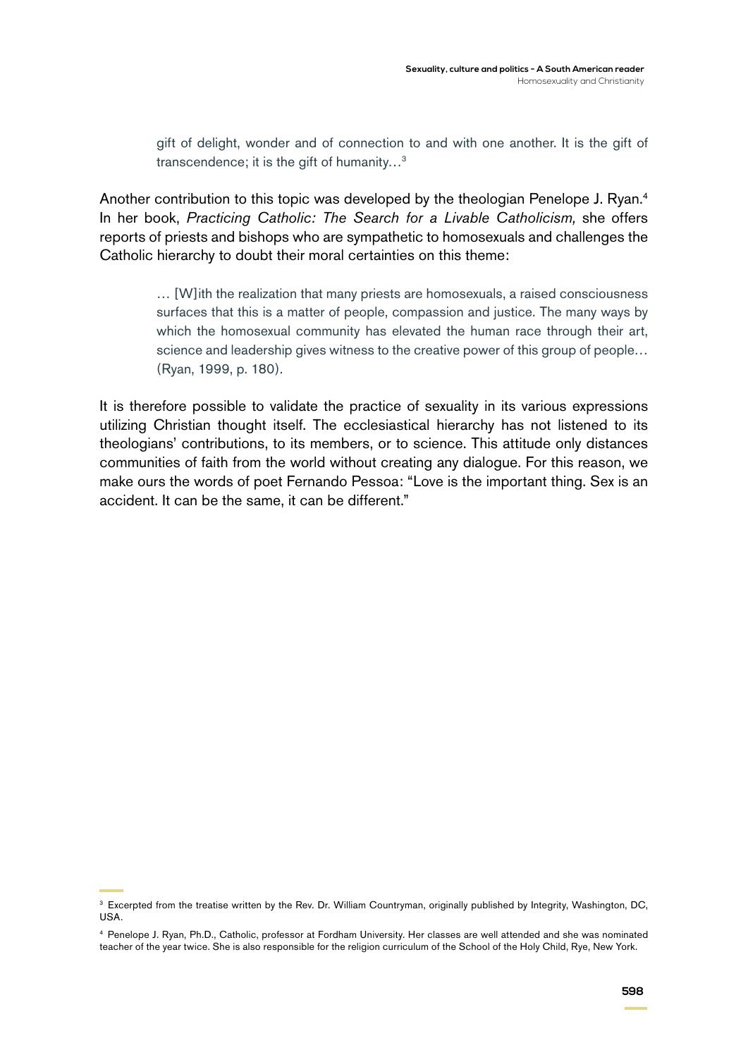gift of delight, wonder and of connection to and with one another. It is the gift of transcendence; it is the gift of humanity…3

Another contribution to this topic was developed by the theologian Penelope J. Ryan.<sup>4</sup> In her book, *Practicing Catholic: The Search for a Livable Catholicism,* she offers reports of priests and bishops who are sympathetic to homosexuals and challenges the Catholic hierarchy to doubt their moral certainties on this theme:

> … [W]ith the realization that many priests are homosexuals, a raised consciousness surfaces that this is a matter of people, compassion and justice. The many ways by which the homosexual community has elevated the human race through their art, science and leadership gives witness to the creative power of this group of people… (Ryan, 1999, p. 180).

It is therefore possible to validate the practice of sexuality in its various expressions utilizing Christian thought itself. The ecclesiastical hierarchy has not listened to its theologians' contributions, to its members, or to science. This attitude only distances communities of faith from the world without creating any dialogue. For this reason, we make ours the words of poet Fernando Pessoa: "Love is the important thing. Sex is an accident. It can be the same, it can be different."

<sup>3</sup> Excerpted from the treatise written by the Rev. Dr. William Countryman, originally published by Integrity, Washington, DC, USA.

<sup>4</sup> Penelope J. Ryan, Ph.D., Catholic, professor at Fordham University. Her classes are well attended and she was nominated teacher of the year twice. She is also responsible for the religion curriculum of the School of the Holy Child, Rye, New York.